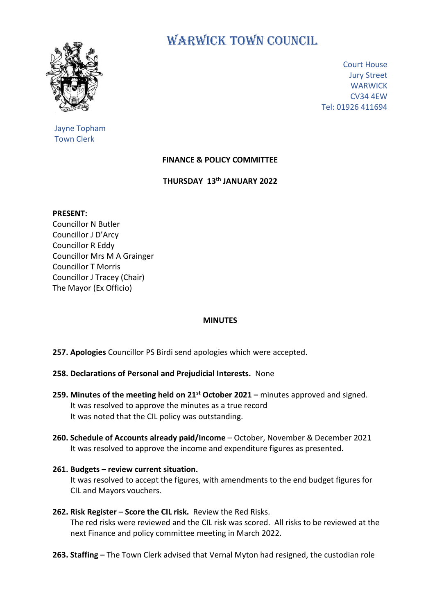

Jayne Topham Town Clerk

WARWICK TOWN COUNCIL

Court House Jury Street **WARWICK** CV34 4EW Tel: 01926 411694

## **FINANCE & POLICY COMMITTEE**

**THURSDAY 13th JANUARY 2022**

**PRESENT:**

Councillor N Butler Councillor J D'Arcy Councillor R Eddy Councillor Mrs M A Grainger Councillor T Morris Councillor J Tracey (Chair) The Mayor (Ex Officio)

## **MINUTES**

**257. Apologies** Councillor PS Birdi send apologies which were accepted.

- **258. Declarations of Personal and Prejudicial Interests.** None
- **259. Minutes of the meeting held on 21 st October 2021 –** minutes approved and signed. It was resolved to approve the minutes as a true record It was noted that the CIL policy was outstanding.
- **260. Schedule of Accounts already paid/Income** October, November & December 2021 It was resolved to approve the income and expenditure figures as presented.
- **261. Budgets – review current situation.** It was resolved to accept the figures, with amendments to the end budget figures for CIL and Mayors vouchers.
- **262. Risk Register – Score the CIL risk.** Review the Red Risks. The red risks were reviewed and the CIL risk was scored. All risks to be reviewed at the next Finance and policy committee meeting in March 2022.
- **263. Staffing –** The Town Clerk advised that Vernal Myton had resigned, the custodian role